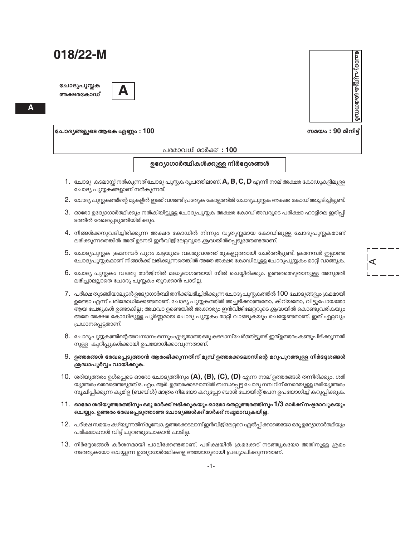ചോദ്യപുസ്തക അക്ഷരകോഡ്



Δ

ചോദ്യങ്ങളുടെ ആകെ എണ്ണം : 100

പരമാവധി മാർക്ക് : 100

ഉദ്യോഗാർത്ഥികൾക്കുള്ള നിർദ്ദേശങ്ങൾ

- $1.$  ചോദ്യ കടലാസ്സ് നൽകുന്നത് ചോദ്യ പുസ്തക രൂപത്തിലാണ്.  $\mathsf A,\mathsf B,\mathsf C,\mathsf D$  എന്നീ നാല് അക്ഷര കോഡുകളിലുള്ള ചോദ്യ പുസ്തകങ്ങളാണ് നൽകുന്നത്.
- 2. ചോദ്യ പുസ്തകത്തിന്റെ മുകളിൽ ഇടത് വശത്ത് പ്രത്യേക കോളത്തിൽ ചോദ്യപുസ്തക അക്ഷര കോഡ് അച്ചടിച്ചിട്ടുണ്ട്.
- 3. ഓരോ ഉദ്യോഗാർത്ഥിക്കും നൽകിയിട്ടുള്ള ചോദ്യപുസ്തക അക്ഷര കോഡ് അവരുടെ പരീക്ഷാ ഹാളിലെ ഇരിപ്പി ടത്തിൽ രേഖപ്പെടുത്തിയിരിക്കും.
- 4. നിങ്ങൾക്കനുവദിച്ചിരിക്കുന്ന അക്ഷര കോഡിൽ നിന്നും വ്യത്യസ്തമായ കോഡിലുള്ള ചോദ്യപുസ്തകമാണ് ലഭിക്കുന്നതെങ്കിൽ അത് ഉടനടി ഇൻവിജിലേറ്ററുടെ ശ്രദ്ധയിൽപ്പെടുത്തേണ്ടതാണ്.
- 5. ചോദ്യപുസ്തക ക്രമനമ്പർ പുറം ചട്ടയുടെ വലതുവശത്ത് മുകളറ്റത്തായി ചേർത്തിട്ടുണ്ട്. ക്രമനമ്പർ ഇല്ലാത്ത ചോദ്യപുസ്തകമാണ് നിങ്ങൾക്ക് ലഭിക്കുന്നതെങ്കിൽ അതേ അക്ഷര കോഡിലുള്ള ചോദ്യപുസ്തകം മാറ്റി വാങ്ങുക.
- 6. ചോദ്യ പുസ്തകം വലതു മാർജിനിൽ മദ്ധ്യഭാഗത്തായി സീൽ ചെയ്യിരിക്കും. ഉത്തരമെഴുതാനുള്ള അനുമതി ലഭിച്ചാലല്ലാതെ ചോദ്യ പുസ്തകം തുറക്കാൻ പാടില്ല.
- $7.$  പരീക്ഷ തുടങ്ങിയാലുടൻ ഉദ്യോഗാർത്ഥി തനിക്ക് ലഭിച്ചിരിക്കുന്ന ചോദ്യ പുസ്തകത്തിൽ  $100$  ചോദ്യങ്ങളും ക്രമമായി ഉണ്ടോ എന്ന് പരിശോധിക്കേണ്ടതാണ്. ചോദ്യ പുസ്തകത്തിൽ അച്ചടിക്കാത്തതോ, കീറിയതോ, വിട്ടുപോയതോ ആയ പേജുകൾ ഉണ്ടാകില്ല; അഥവാ ഉണ്ടെങ്കിൽ അക്കാര്യം ഇൻവിജിലേറ്ററുടെ ശ്രദ്ധയിൽ കൊണ്ടുവരികയും അതേ അക്ഷര കോഡിലുള്ള പൂർണ്ണമായ ചോദ്യ പുസ്തകം മാറ്റി വാങ്ങുകയും ചെയ്യേണ്ടതാണ്. ഇത് ഏറ്റവും പ്രധാനപ്പെട്ടതാണ്.
- 8. ചോദ്യപുസ്തകത്തിന്റെ അവസാനം ഒന്നും എഴുതാത്ത ഒരു കടലാസ് ചേർത്തിട്ടുണ്ട്. ഇത്ഉത്തരം കണ്ടുപിടിക്കുന്നതി നുള്ള കുറിപ്പുകൾക്കായി ഉപയോഗിക്കാവുന്നതാണ്.
- 9. ഉത്തരങ്ങൾ രേഖപ്പെടുത്താൻ ആരംഭിക്കുന്നതിന് മുമ്പ് ഉത്തരക്കടലാസിന്റെ മറുപുറത്തുള്ള നിർദ്ദേശങ്ങൾ ശ്രദ്ധാപൂർവ്വം വായിക്കുക.
- 10. ശരിയുത്തരം ഉൾപ്പെടെ ഓരോ ചോദ്യത്തിനും (A), (B), (C), (D) എന്ന നാല് ഉത്തരങ്ങൾ തന്നിരിക്കും. ശരി യുത്തരം തെരഞ്ഞെടുത്ത് ഒ. എം. ആർ. ഉത്തരക്കടലാസിൽ ബന്ധപ്പെട്ട ചോദ്യ നമ്പറിന് നേരെയുള്ള ശരിയുത്തരം സൂചിപ്പിക്കുന്ന കുമിള (ബബിൾ) മാത്രം നീലയോ കറുപ്പോ ബാൾ പോയിന്റ് പേന ഉപയോഗിച്ച് കറുപ്പിക്കുക.
- $11.$  ഓരോ ശരിയുത്തരത്തിനും ഒരു മാർക്ക് ലഭിക്കുകയും ഓരോ തെറ്റുത്തരത്തിനും  $1/3$  മാർക്ക് നഷ്ടമാവുകയും ചെയ്യും. ഉത്തരം രേഖപ്പെടുത്താത്ത ചോദ്യങ്ങൾക്ക് മാർക്ക് നഷ്ടമാവുകയില്ല.
- 12. പരീക്ഷ സമയം കഴിയുന്നതിന് മുമ്പോ, ഉത്തരക്കടലാസ് ഇൻവിജിലേറ്ററെ ഏൽപ്പിക്കാതെയോ ഒരു ഉദ്യോഗാർത്ഥിയും പരീക്ഷാഹാൾ വിട്ട് പുറത്തുപോകാൻ പാടില്ല.
- 13. നിർദേശങ്ങൾ കർശനമായി പാലിക്കേണ്ടതാണ്. പരീക്ഷയിൽ ക്രമക്കേട് നടത്തുകയോ അതിനുള്ള ശ്രമം നടത്തുകയോ ചെയ്യുന്ന ഉദ്യോഗാർത്ഥികളെ അയോഗ്യരായി പ്രഖ്യാപിക്കുന്നതാണ്.

മ്പ്രധയ്ക്ക ക്യുപ്ര പ്രാല് സമയം : 90 മിനിട്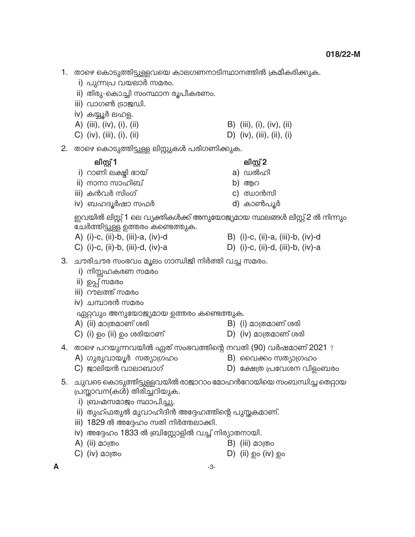i) പുന്നപ്ര വയലാർ സമരം. ii) തിരു-കൊച്ചി സംസ്ഥാന രൂപീകരണം. iii) വാഗൺ ട്രാജഡി. iv) കയ്യൂർ ലഹള. A) (iii), (iv), (i), (ii) B) (iii), (i), (iv), (ii) C) (iv), (iii), (i), (ii) D)  $(iv)$ ,  $(iii)$ ,  $(ii)$ ,  $(i)$ 2. താഴെ കൊടുത്തിട്ടുള്ള ലിസ്റ്റുകൾ പരിഗണിക്കുക. ലിസ്റ്റ് 1 ലിസ്റ്റ് 2 i) റാണി ലക്ഷി ഭായ് a) ഡൽഹി ii) നാനാ സാഹിബ് b) ആറ iii) കൻവർ സിംഗ് c) ഝാൻസി iv) ബഹദൂർഷാ സഫർ d) കാൺപൂർ ചേർത്തിട്ടുള്ള ഉത്തരം കണ്ടെത്തുക. B) (i)-c, (ii)-a, (iii)-b, (iv)-d A) (i)-c, (ii)-b, (iii)-a, (iv)-d C) (i)-c, (ii)-b, (iii)-d, (iv)-a D) (i)-c, (ii)-d, (iii)-b, (iv)-a 3. ചൗരിചൗര സംഭവം മൂലം ഗാന്ധിജി നിർത്തി വച്ച സമരം. i) നിസ്സഹകരണ സമരം ii) ഉപ്പ് സമരം iii) റൗലത്ത് സമരം iv) ചമ്പാരൻ സമരം ഏറ്റവും അനുയോജ്യമായ ഉത്തരം കണ്ടെത്തുക. B) (i) മാത്രമാണ് ശരി A) (ii) മാത്രമാണ് ശരി  $D)$  (iv) മാത്രമാണ് ശരി C) (i) ഉം (ii) ഉം ശരിയാണ് 4. താഴെ പറയുന്നവയിൽ ഏത് സംഭവത്തിന്റെ നവതി (90) വർഷമാണ് 2021 ? A) ഗുരുവായൂർ സത്യാഗ്രഹം B) വൈക്കം സത്യാഗ്രഹം  $C)$  ജാലിയൻ വാലാബാഗ് D) ക്ഷേത്ര പ്രവേശന വിളംബരം 5. ചുവടെ കൊടുത്തിട്ടുള്ളവയിൽ രാജാറാം മോഹൻറോയിയെ സംബന്ധിച്ച തെറ്റായ പ്രസ്താവന(കൾ) തിരിച്ചറിയുക. i) ബ്രഹ്മസമാജം സ്ഥാപിച്ചു.

1. താഴെ കൊടുത്തിട്ടുള്ളവയെ കാലഗണനാടിസ്ഥാനത്തിൽ ക്രമീകരിക്കുക.

- ii) തുഹ്ഫതുൽ മുവാഹിദിൻ അദ്ദേഹത്തിന്റെ പുസ്തകമാണ്.
- iii) 1829 ൽ അദ്ദേഹം സതി നിർത്തലാക്കി.
- iv) അദ്ദേഹം 1833 ൽ ബ്രിസ്റ്റോളിൽ വച്ച് നിര്യാതനായി.
- A) (ii) മാത്രം
- $C)$  (iv) മാത്രം  $D)$  (ii)  $\odot$  (iv)  $\odot$

 $-3-$ 

 $\mathsf{B}$ ) (iii) മാത്രം

ഇവയിൽ ലിസ്റ്റ് 1 ലെ വ്യക്തികൾക്ക് അനുയോജ്യമായ സ്ഥലങ്ങൾ ലിസ്റ്റ് 2 ൽ നിന്നും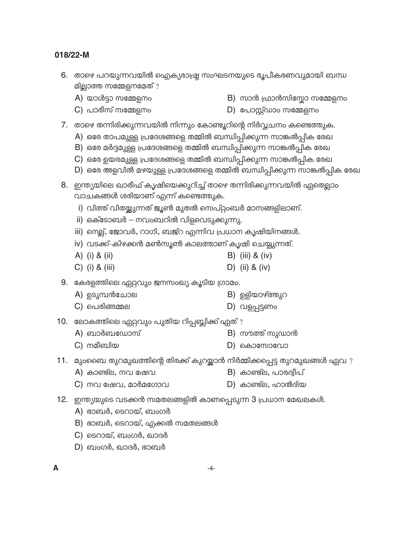- 6. താഴെ പറയുന്നവയിൽ ഐക്യരാഷ്ട്ര സംഘടനയുടെ രൂപീകരണവുമായി ബന്ധ മില്ലാത്ത സമ്മേളനമേത് ?
	- A) യാൾട്ടാ സമ്മേളനം

 $B$ ) സാൻ ഫ്രാൻസിസ്റ്റോ സമ്മേളനം

 $C$ ) പാരീസ് സമ്മേളനം

- $D)$  പോസ്റ്റ്ഡാം സമ്മേളനം
- 7. താഴെ തന്നിരിക്കുന്നവയിൽ നിന്നും കോണ്ടൂറിന്റെ നിർവ്വചനം കണ്ടെത്തുക.
	- A) ഒരേ താപമുള്ള പ്രദേശങ്ങളെ തമ്മിൽ ബന്ധിപ്പിക്കുന്ന സാങ്കൽപ്പിക രേഖ
	- B) ഒരേ മർദ്ദമുള്ള പ്രദേശങ്ങളെ തമ്മിൽ ബന്ധിപ്പിക്കുന്ന സാങ്കൽപ്പിക രേഖ
	- C) ഒരേ ഉയരമുള്ള പ്രദേശങ്ങളെ തമ്മിൽ ബന്ധിപ്പിക്കുന്ന സാങ്കൽപ്പിക രേഖ
	- D) ഒരേ അളവിൽ മഴയുള്ള പ്രദേശങ്ങളെ തമ്മിൽ ബന്ധിപ്പിക്കുന്ന സാങ്കൽപ്പിക രേഖ
- 8. ഇന്ത്യയിലെ ഖാരീഫ് കൃഷിയെക്കുറിച്ച് താഴെ തന്നിരിക്കുന്നവയിൽ ഏതെല്ലാം വാചകങ്ങൾ ശരിയാണ് എന്ന് കണ്ടെത്തുക.
	- i) വിത്ത് വിതയ്ക്കുന്നത് ജൂൺ മുതൽ സെപ്റ്റംബർ മാസങ്ങളിലാണ്.
	- ii) ഒക്ടോബർ നവംബറിൽ വിളവെടുക്കുന്നു.
	- iii) നെല്ല്, ജോവർ, റാഗി, ബജ്റ എന്നിവ പ്രധാന കൃഷിയിനങ്ങൾ.
	- iv) വടക്ക്-കിഴക്കൻ മൺസൂൺ കാലത്താണ് കൃഷി ചെയ്യുന്നത്.
	- A) (i) & (ii) B) (iii)  $&$  (iv)
	- $C)$  (i) & (iii) D) (ii) & (iv)

9. കേരളത്തിലെ ഏറ്റവും ജനസംഖ്യ കൂടിയ ഗ്രാമം.

- A) ഉടുമ്പൻചോല B) ഉളിയാഴ്ത്തുറ
- $C)$  പെരിങ്ങമ്മല D) വളപ്പട്ടണം
- 10. ലോകത്തിലെ ഏറ്റവും പുതിയ റിപ്പബ്ലിക്ക് ഏത്?
	- $B)$  സൗത്ത് സുഡാൻ A) ബാർബഡോസ്
	- $C$ ) നമീബിയ D) കൊസോവോ
- 11. മുംബൈ തുറമുഖത്തിന്റെ തിരക്ക് കുറയ്ക്കാൻ നിർമ്മിക്കപ്പെട്ട തുറമുഖങ്ങൾ ഏവ ?
	- A) കാണ്ട്ല, നവ ഷേവ B) കാണ്ട്ല, പാരദ്വീപ്
	- $C)$  നവ ഷേവ, മാർമഗോവ D) കാണ്ട്ല, ഹാൽദിയ
- 12. ഇന്ത്യയുടെ വടക്കൻ സമതലങ്ങളിൽ കാണപ്പെടുന്ന 3 പ്രധാന മേഖലകൾ.
	- A) ഭാബർ, ടെറായ്, ബംഗർ
	- B) ഭാബർ, ടെറായ്, എക്കൽ സമതലങ്ങൾ
	- C) ടെറായ്, ബംഗർ, ഖാദർ
	- D) ബംഗർ, ഖാദർ, ഭാബർ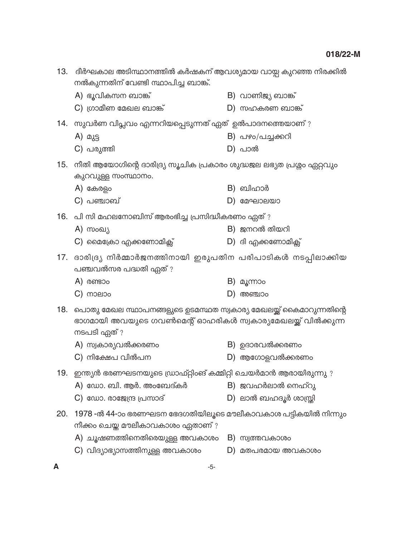| 13. | ദീർഘകാല അടിസ്ഥാനത്തിൽ കർഷകന് ആവശ്യമായ വായ്പ കുറഞ്ഞ നിരക്കിൽ<br>നൽകുന്നതിന് വേണ്ടി സ്ഥാപിച്ച ബാങ്ക്.                                                 |  |                       |  |  |
|-----|-----------------------------------------------------------------------------------------------------------------------------------------------------|--|-----------------------|--|--|
|     | A) ഭൂവികസന ബാങ്ക്                                                                                                                                   |  | B) വാണിജ്യ ബാങ്ക്     |  |  |
|     | $C)$ ഗ്രാമീണ മേഖല ബാങ്ക്                                                                                                                            |  | D) സഹകരണ ബാങ്ക്       |  |  |
|     | 14.   സുവർണ വിപ്ലവം എന്നറിയപ്പെടുന്നത് ഏത്  ഉൽപാദനത്തെയാണ് ?                                                                                        |  |                       |  |  |
|     | A) മുട്ട                                                                                                                                            |  | B) പഴം/പച്ചക്കറി      |  |  |
|     | C) പരുത്തി                                                                                                                                          |  | $D)$ പാൽ              |  |  |
|     | 15. നീതി ആയോഗിന്റെ ദാരിദ്ര്യ സൂചിക പ്രകാരം ശുദ്ധജല ലഭ്യത പ്രശ്നം ഏറ്റവും<br>കുറവുള്ള സംസ്ഥാനം.                                                      |  |                       |  |  |
|     | A) കേരളം                                                                                                                                            |  | $B)$ ബിഹാർ            |  |  |
|     | $C)$ പഞ്ചാബ്                                                                                                                                        |  | $D)$ മേഘാലയാ          |  |  |
|     | 16. പി സി മഹലനോബിസ് ആരംഭിച്ച പ്രസിദ്ധീകരണം ഏത്?                                                                                                     |  |                       |  |  |
|     | A) സംഖ്യ                                                                                                                                            |  | $B)$ ജനറൽ തിയറി       |  |  |
|     | $C$ ) മൈക്രോ എക്കണോമിക്സ്                                                                                                                           |  | D) ദി എക്കണോമിക്സ്    |  |  |
| 17. | ദാരിദ്ര്യ നിർമ്മാർജനത്തിനായി ഇരുപതിന പരിപാടികൾ നടപ്പിലാക്കിയ<br>പഞ്ചവൽസര പദ്ധതി ഏത്?                                                                |  |                       |  |  |
|     | $A)$ രണ്ടാം                                                                                                                                         |  | B) മൂന്നാം            |  |  |
|     | $C)$ moeloo                                                                                                                                         |  | $D)$ അഞ്ചാം           |  |  |
| 18. | പൊതു മേഖല സ്ഥാപനങ്ങളുടെ ഉടമസ്ഥത സ്വകാര്യ മേഖലയ്ക്ക് കൈമാറുന്നതിന്റെ<br>ഭാഗമായി അവയുടെ ഗവൺമെന്റ് ഓഹരികൾ സ്വകാര്യമേഖലയ്ക്ക് വിൽക്കുന്ന<br>നടപടി ഏത് ? |  |                       |  |  |
|     | A) സ്വകാര്യവൽക്കരണം                                                                                                                                 |  | B) ഉദാരവൽക്കരണം       |  |  |
|     | C) നിക്ഷേപ വിൽപന                                                                                                                                    |  | D) ആഗോളവൽക്കരണം       |  |  |
|     | 19. ഇന്ത്യൻ ഭരണഘടനയുടെ ഡ്രാഫ്റ്റിംങ് കമ്മിറ്റി ചെയർമാൻ ആരായിരുന്നു ?                                                                                |  |                       |  |  |
|     | A) ഡോ. ബി. ആർ. അംബേദ്കർ                                                                                                                             |  | B) ജവഹർലാൽ നെഹ്റു     |  |  |
|     | $C$ ) ഡോ. രാജേന്ദ്ര പ്രസാദ്                                                                                                                         |  | D) ലാൽ ബഹദൂർ ശാസ്ത്രി |  |  |
| 20. | 1978 -ൽ 44-ാം ഭരണഘടന ഭേദഗതിയിലൂടെ മൗലീകാവകാശ പട്ടികയിൽ നിന്നും<br>നീക്കം ചെയ്ത മൗലീകാവകാശം ഏതാണ് ?                                                  |  |                       |  |  |
|     | A) ചൂഷണത്തിനെതിരെയുള്ള അവകാശം                                                                                                                       |  | B) സ്വത്തവകാശം        |  |  |
|     | C) വിദ്യാഭ്യാസത്തിനുള്ള അവകാശം                                                                                                                      |  | D) മതപരമായ അവകാശം     |  |  |

 $\boldsymbol{\mathsf{A}}$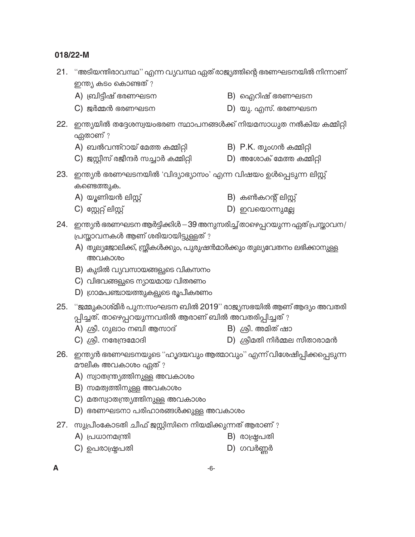- 21. "അടിയന്തിരാവസ്ഥ" എന്ന വ്യവസ്ഥ ഏത് രാജ്യത്തിന്റെ ഭരണഘടനയിൽ നിന്നാണ് ഇന്ത്യ കടം കൊണ്ടത് ?
	- B) ഐറിഷ് ഭരണഘടന A) ബ്രിട്ടീഷ് ഭരണഘടന
	- $C)$  ജർമ്മൻ ഭരണഘടന D) യു. എസ്. ഭരണഘടന
- 22. ഇന്ത്യയിൽ തദ്ദേശസ്വയംഭരണ സ്ഥാപനങ്ങൾക്ക് നിയമസാധുത നൽകിയ കമ്മിറ്റി ഏതാണ് ?
	- A) ബൽവന്ത്റായ് മേത്ത കമ്മിറ്റി B) P.K. തുംഗൻ കമ്മിറ്റി
	- $C$ ) ജസ്റ്റീസ് രജീന്ദർ സച്ചാർ കമ്മിറ്റി  $D$ ) അശോക് മേത്ത കമ്മിറ്റി
- 23. ഇന്ത്യൻ ഭരണഘടനയിൽ 'വിദ്യാഭ്യാസം' എന്ന വിഷയം ഉൾപ്പെടുന്ന ലിസ്റ്റ് കണ്ടെത്തുക.
	- A) യൂണിയൻ ലിസ്റ് B) കൺകറന്റ് ലിസ്റ്റ്
	- $C$ ) സ്റ്റേറ്റ് ലിസ്റ്റ് D) ഇവയൊന്നുമല്ല
- 24. ഇന്ത്യൻ ഭരണഘടന ആർട്ടിക്കിൾ -39 അനുസരിച്ച് താഴെപ്പറയുന്ന ഏത് പ്രസ്താവന/ പ്രസ്താവനകൾ ആണ് ശരിയായിട്ടുള്ളത് ?
	- A) തുല്യജോലിക്ക്, സ്ത്രീകൾക്കും, പുരുഷൻമാർക്കും തുല്യവേതനം ലഭിക്കാനുള്ള അവകാശം
	- B) കുടിൽ വ്യവസായങ്ങളുടെ വികസനം
	- C) വിഭവങ്ങളുടെ ന്യായമായ വിതരണം
	- D) ഗ്രാമപഞ്ചായത്തുകളുടെ രൂപീകരണം
- 25. "ജമ്മുകാശ്മീർ പുന:സംഘടന ബിൽ 2019" രാജ്യസഭയിൽ ആണ് ആദ്യം അവതരി പ്പിച്ചത്. താഴെപ്പറയുന്നവരിൽ ആരാണ് ബിൽ അവതരിപ്പിച്ചത് ?
	- A) ശ്രീ. ഗുലാം നബി ആസാദ്
- B) ശ്രീ. അമിത് ഷാ
- $C)$  ശ്രീ. നരേന്ദ്രമോദി
- $D)$  ശ്രീമതി നിർമ്മല സീതാരാമൻ
- 26. ഇന്ത്യൻ ഭരണഘടനയുടെ ''ഹൃദയവും ആത്മാവും'' എന്ന് വിശേഷിപ്പിക്കപ്പെടുന്ന മൗലീക അവകാശം ഏത് ?
	- A) സ്വാതന്ത്ര്യത്തിനുള്ള അവകാശം
	- B) സമത്വത്തിനുള്ള അവകാശം
	- C) മതസ്വാതന്ത്ര്യത്തിനുള്ള അവകാശം
	- D) ഭരണഘടനാ പരിഹാരങ്ങൾക്കുള്ള അവകാശം
- 27. സുപ്രീംകോടതി ചീഫ് ജസ്റ്റിസിനെ നിയമിക്കുന്നത് ആരാണ് ?
	- A) പ്രധാനമന്ത്രി B) രാഷ്ട്രപതി
	- $D)$  ഗവർണ്ണർ  $C$ ) ഉപരാഷ്ട്രപതി
- $\blacktriangle$
- 
-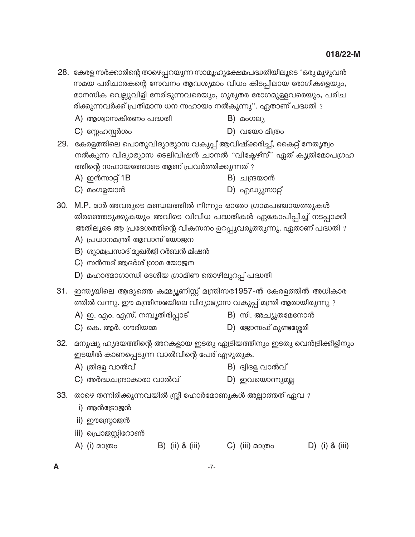- 28. കേരള സർക്കാരിന്റെ താഴെപ്പറയുന്ന സാമൂഹ്യക്ഷേമപദ്ധതിയിലൂടെ ''ഒരു മുഴുവൻ സമയ പരിചാരകന്റെ സേവനം ആവശ്യമാം വിധം കിടപ്പിലായ രോഗികളെയും, മാനസിക വെല്ലുവിളി നേരിടുന്നവരെയും, ഗുരുതര രോഗമുള്ളവരെയും, പരിച രിക്കുന്നവർക്ക് പ്രതിമാസ ധന സഹായം നൽകുന്നു''. ഏതാണ് പദ്ധതി ?
	- A) ആശ്വാസകിരണം പദ്ധതി
- B) മംഗല്യ
- $C)$  സ്നേഹസ്റ്റർശം  $D)$  വയോ മിത്രം
- 29. കേരളത്തിലെ പൊതുവിദ്യാഭ്യാസ വകുപ്പ് ആവിഷ്ക്കരിച്ച്, കൈറ്റ് നേതൃത്വം നൽകുന്ന വിദ്യാഭ്യാസ ടെലിവിഷൻ ചാനൽ "വിക്ടേഴ്സ്" ഏത് കൃത്രിമോപഗ്രഹ ത്തിന്റെ സഹായത്തോടെ ആണ് പ്രവർത്തിക്കുന്നത് ?
	- A) ഇൻസാറ്റ് 1B B) ചന്ദ്രയാൻ
	- $C)$  മംഗളയാൻ D) എഡ്യൂസാറ്റ്
- 30. M.P. മാർ അവരുടെ മണ്ഡലത്തിൽ നിന്നും ഓരോ ഗ്രാമപഞ്ചായത്തുകൾ തിരഞ്ഞെടുക്കുകയും അവിടെ വിവിധ പദ്ധതികൾ ഏകോപിപ്പിച്ച് നടപ്പാക്കി അതിലൂടെ ആ പ്രദേശത്തിന്റെ വികസനം ഉറപ്പുവരുത്തുന്നു. ഏതാണ് പദ്ധതി ?
	- A) പ്രധാനമന്ത്രി ആവാസ് യോജന
	- B) ശ്യാമപ്രസാദ് മുഖർജി റർബൻ മിഷൻ
	- $C$ ) സൻസദ് ആദർശ് ഗ്രാമ യോജന
	- D) മഹാത്മാഗാന്ധി ദേശീയ ഗ്രാമീണ തൊഴിലുറപ്പ് പദ്ധതി
- 31. ഇന്ത്യയിലെ ആദ്യത്തെ കമ്മ്യൂണിസ്റ്റ് മന്ത്രിസഭ1957-ൽ കേരളത്തിൽ അധികാര ത്തിൽ വന്നു. ഈ മന്ത്രിസഭയിലെ വിദ്യാഭ്യാസ വകുപ്പ് മന്ത്രി ആരായിരുന്നു ?
	- A) ഇ. എം. എസ്. നമ്പൂതിരിപ്പാട്
- B) സി. അച്യുതമേനോൻ
- C) കെ. ആർ. ഗൗരിയമ്മ
- $D)$  ജോസഫ് മുണ്ടശ്ശേരി
- 32. മനുഷ്യ ഹൃദയത്തിന്റെ അറകളായ ഇടതു ഏട്രിയത്തിനും ഇടതു വെൻട്രിക്കിളിനും ഇടയിൽ കാണപ്പെടുന്ന വാൽവിന്റെ പേര് എഴുതുക.
	- A) ത്രിദള വാൽവ് B) ദ്വിദള വാൽവ്
	- C) അർദ്ധചന്ദ്രാകാരാ വാൽവ് D) ഇവയൊന്നുമല്ല
- 33. താഴെ തന്നിരിക്കുന്നവയിൽ സ്ത്രീ ഹോർമോണുകൾ അല്ലാത്തത് ഏവ ?
	- i) ആൻട്രോജൻ
	- ii) ഈസ്ട്രോജൻ
	- iii) പ്രൊജസ്റ്റിറോൺ
	- A) (i) മാത്രം B) (ii) & (iii) C) (iii) മാത്രം D) (i) & (iii)
- A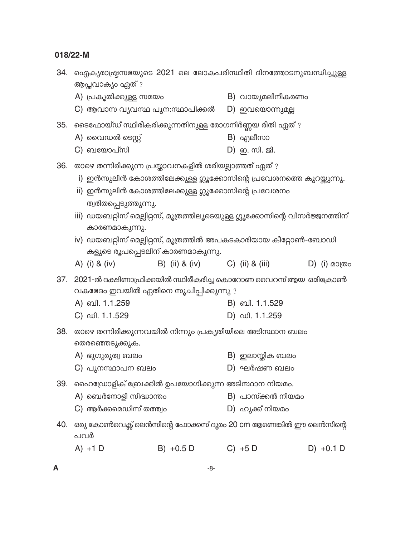| 34. | ഐക്യരാഷ്ട്രസഭയുടെ 2021 ലെ ലോകപരിസ്ഥിതി ദിനത്തോടനുബന്ധിച്ചുള്ള<br>ആപ്തവാക്യം ഏത് ?                      |                                                                              |  |                     |  |                 |  |
|-----|--------------------------------------------------------------------------------------------------------|------------------------------------------------------------------------------|--|---------------------|--|-----------------|--|
|     | A) പ്രകൃതിക്കുള്ള സമയം                                                                                 |                                                                              |  | B) വായുമലിനീകരണം    |  |                 |  |
|     | C) ആവാസ വ്യവസ്ഥ പുന:സ്ഥാപിക്കൽ                                                                         |                                                                              |  | D) ഇവയൊന്നുമല്ല     |  |                 |  |
| 35. | ടൈഫോയ്ഡ് സ്ഥിരീകരിക്കുന്നതിനുള്ള രോഗനിർണ്ണയ രീതി ഏത് ?                                                 |                                                                              |  |                     |  |                 |  |
|     | A) വൈഡൽ ടെസ്റ്റ്                                                                                       |                                                                              |  | B) എലീസാ            |  |                 |  |
|     | C) ബയോപ്സി                                                                                             |                                                                              |  | D) ഇ. സി. ജി.       |  |                 |  |
| 36. | താഴെ തന്നിരിക്കുന്ന പ്രസ്താവനകളിൽ ശരിയല്ലാത്തത് ഏത്?                                                   |                                                                              |  |                     |  |                 |  |
|     | i) ഇൻസുലിൻ കോശത്തിലേക്കുള്ള ഗ്ലൂക്കോസിന്റെ പ്രവേശനത്തെ കുറയ്ക്കുന്നു.                                  |                                                                              |  |                     |  |                 |  |
|     | ii) ഇൻസുലിൻ കോശത്തിലേക്കുള്ള ഗ്ലൂക്കോസിന്റെ പ്രവേശനം                                                   |                                                                              |  |                     |  |                 |  |
|     | ത്വരിതപ്പെടുത്തുന്നു.                                                                                  |                                                                              |  |                     |  |                 |  |
|     |                                                                                                        | iii) ഡയബറ്റിസ് മെല്ലിറ്റസ്, മൂത്രത്തിലൂടെയുള്ള ഗ്ലൂക്കോസിന്റെ വിസർജ്ജനത്തിന് |  |                     |  |                 |  |
|     | കാരണമാകുന്നു.                                                                                          |                                                                              |  |                     |  |                 |  |
|     | iv) ഡയബറ്റിസ് മെല്ലിറ്റസ്, മൂത്രത്തിൽ അപകടകാരിയായ കീറ്റോൺ-ബോഡി<br>കളുടെ രൂപപ്പെടലിന് കാരണമാകുന്നു.     |                                                                              |  |                     |  |                 |  |
|     | A) (i) & (iv)                                                                                          | B) (ii) & (iv) C) (ii) & (iii)                                               |  |                     |  | $D)$ (i) മാത്രം |  |
| 37. | 2021-ൽ ദക്ഷിണാഫ്രിക്കയിൽ സ്ഥിരീകരിച്ച കൊറോണ വൈറസ് ആയ ഒമിക്രോൺ<br>വകഭേദം ഇവയിൽ ഏതിനെ സൂചിപ്പിക്കുന്നു ? |                                                                              |  |                     |  |                 |  |
|     | A) ബി. 1.1.259                                                                                         |                                                                              |  | B) வி. 1.1.529      |  |                 |  |
|     | C) ഡി. 1.1.529                                                                                         |                                                                              |  | D) $\omega$ 1.1.259 |  |                 |  |
| 38. | താഴെ തന്നിരിക്കുന്നവയിൽ നിന്നും പ്രകൃതിയിലെ അടിസ്ഥാന ബലം<br>തെരഞ്ഞെടുക്കുക.                            |                                                                              |  |                     |  |                 |  |
|     | A) ഭുഗുരുത്വ ബലം                                                                                       |                                                                              |  | $B)$ ഇലാസ്തിക ബലം   |  |                 |  |
|     | $C)$ പുനസ്ഥാപന ബലം                                                                                     |                                                                              |  | $D)$ ഘർഷണ ബലം       |  |                 |  |
| 39. | ഹൈഡ്രോളിക് ബ്രേക്കിൽ ഉപയോഗിക്കുന്ന അടിസ്ഥാന നിയമം.                                                     |                                                                              |  |                     |  |                 |  |
|     | A) ബെർനോളി സിദ്ധാന്തം                                                                                  |                                                                              |  | B) പാസ്ക്കൽ നിയമം   |  |                 |  |
|     | $C$ ) ആർക്കമെഡിസ് തത്ത്വം                                                                              |                                                                              |  | D) ഹുക്ക് നിയമം     |  |                 |  |
| 40. | ഒരു കോൺവെക്സ് ലെൻസിന്റെ ഫോക്കസ് ദൂരം 20 cm ആണെങ്കിൽ ഈ ലെൻസിന്റെ<br>പവർ                                 |                                                                              |  |                     |  |                 |  |
|     | $A) + 1$ D                                                                                             | $B) +0.5 D$                                                                  |  | $C) + 5D$           |  | $D) +0.1 D$     |  |
|     |                                                                                                        |                                                                              |  |                     |  |                 |  |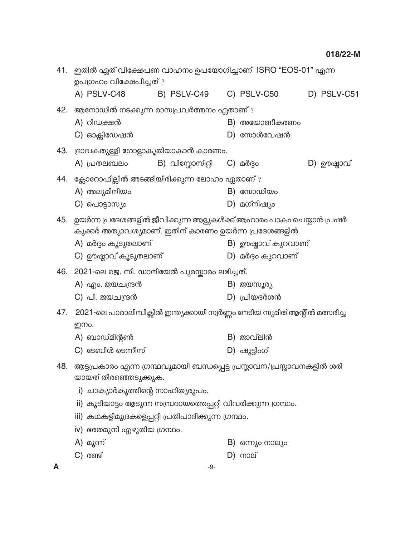|     | 41. ഇതിൽ ഏത് വിക്ഷേപണ വാഹനം ഉപയോഗിച്ചാണ് ISRO "EOS-01" എന്ന<br>ഉപഗ്രഹം വിക്ഷേപിച്ചത്?          |                                |  |                    |  |             |
|-----|------------------------------------------------------------------------------------------------|--------------------------------|--|--------------------|--|-------------|
|     | A) PSLV-C48                                                                                    | B) PSLV-C49 C) PSLV-C50        |  |                    |  | D) PSLV-C51 |
|     | 42. ആനോഡിൽ നടക്കുന്ന രാസപ്രവർത്തനം ഏതാണ് ?                                                     |                                |  |                    |  |             |
|     | A) റിഡക്ഷൻ                                                                                     |                                |  | B) അയോണീകരണം       |  |             |
|     | $C$ ) ഓക്സിഡേഷൻ                                                                                |                                |  | $D)$ സോൾവേഷൻ       |  |             |
| 43. | ദ്രാവകതുള്ളി ഗോളാകൃതിയാകാൻ കാരണം.                                                              |                                |  |                    |  |             |
|     | A) പ്രതലബലം                                                                                    | B) വിസ്കോസിറ്റി $\,$ C) മർദ്ദം |  |                    |  | D) ഊഷ്ലാവ്  |
|     | 44. ക്ലോറോഫില്ലിൽ അടങ്ങിയിരിക്കുന്ന ലോഹം ഏതാണ് ?                                               |                                |  |                    |  |             |
|     | A) അലുമിനിയം                                                                                   |                                |  | $B)$ സോഡിയം        |  |             |
|     | C) പൊട്ടാസ്യം                                                                                  |                                |  | D) മഗ്നീഷ്യം       |  |             |
| 45. | ഉയർന്ന പ്രദേശങ്ങളിൽ ജീവിക്കുന്ന ആളുകൾക്ക് ആഹാരം പാകം ചെയ്യാൻ പ്രഷർ                             |                                |  |                    |  |             |
|     | കുക്കർ അത്യാവശ്യമാണ്. ഇതിന് കാരണം ഉയർന്ന പ്രദേശങ്ങളിൽ                                          |                                |  |                    |  |             |
|     | A) മർദ്ദം കൂടുതലാണ്                                                                            |                                |  | B) ഊഷ്ലാവ് കുറവാണ് |  |             |
|     | C) ഊഷ്ടാവ് കൂടുതലാണ്                                                                           |                                |  | D) മർദ്ദം കുറവാണ്  |  |             |
|     | 46. 2021-ലെ ജെ. സി. ഡാനിയേൽ പുരസ്കാരം ലഭിച്ചത്.                                                |                                |  |                    |  |             |
|     | A) എം. ജയചന്ദ്രൻ                                                                               |                                |  | B) ജയസൂര്യ         |  |             |
|     | $C)$ പി. ജയചന്ദ്രൻ                                                                             |                                |  | $D)$ പ്രിയദർശൻ     |  |             |
| 47. | 2021-ലെ പാരാലിമ്പിക്സിൽ ഇന്ത്യക്കായി സ്വർണ്ണം നേടിയ സുമിത് ആന്റിൽ മത്സരിച്ച                    |                                |  |                    |  |             |
|     | ഇന്നം.                                                                                         |                                |  |                    |  |             |
|     | A) ബാഡ്മിന്റൺ                                                                                  |                                |  | $B)$ ജാവ്ലിൻ       |  |             |
|     | $C)$ ടേബിൾ ടെന്നീസ്                                                                            |                                |  | D) ഷൂട്ടിംഗ്       |  |             |
| 48. | ആട്ടപ്രകാരം എന്ന ഗ്രന്ഥവുമായി ബന്ധപ്പെട്ട പ്രസ്താവന/പ്രസ്താവനകളിൽ ശരി<br>യായത് തിരഞ്ഞെടുക്കുക. |                                |  |                    |  |             |
|     | i) ചാക്യാർകൂത്തിന്റെ സാഹിത്യരൂപം.                                                              |                                |  |                    |  |             |
|     | ii) കൂടിയാട്ടം ആടുന്ന സമ്പ്രദായത്തെപ്പറ്റി വിവരിക്കുന്ന ഗ്രന്ഥം.                               |                                |  |                    |  |             |
|     | iii) കഥകളിമുദ്രകളെപ്പറ്റി പ്രതിപാദിക്കുന്ന ഗ്രന്ഥം.                                            |                                |  |                    |  |             |
|     | iv) ഭരതമുനി എഴുതിയ ഗ്രന്ഥം.                                                                    |                                |  |                    |  |             |
|     | A) മൂന്ന്                                                                                      |                                |  | B) ഒന്നും നാലും    |  |             |
|     | $C)$ രണ്ട്                                                                                     |                                |  | $D)$ നാല്          |  |             |
| A   |                                                                                                | -9-                            |  |                    |  |             |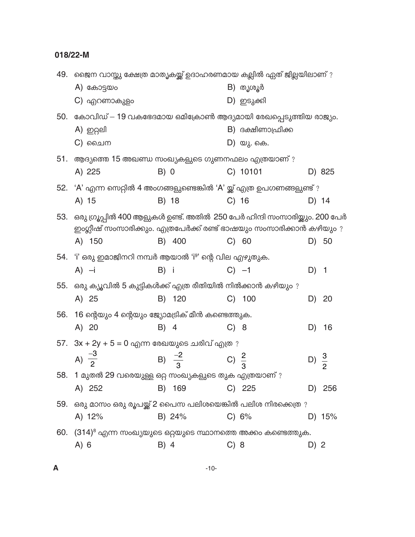| 49. | ജൈന വാസ്തു ക്ഷേത്ര മാതൃകയ്ക്ക് ഉദാഹരണമായ കല്ലിൽ ഏത് ജില്ലയിലാണ് ?         |                   |      |                   |                  |                         |
|-----|---------------------------------------------------------------------------|-------------------|------|-------------------|------------------|-------------------------|
|     | $A)$ കോട്ടയം                                                              |                   |      | B) തൃശൂർ          |                  |                         |
|     | C) എറണാകുളം                                                               |                   |      | D) ഇടുക്കി        |                  |                         |
| 50. | കോവിഡ് — 19 വകഭേദമായ ഒമിക്രോൺ ആദ്യമായി രേഖപ്പെടുത്തിയ രാജ്യം.             |                   |      |                   |                  |                         |
|     | A) ഇറ്റലി                                                                 |                   |      | B) ദക്ഷിണാഫ്രിക്ക |                  |                         |
|     | C) ചൈന                                                                    |                   |      | D) യു. കെ.        |                  |                         |
| 51. | ആദ്യത്തെ 15 അഖണ്ഡ സംഖ്യകളുടെ ഗുണനഫലം എത്രയാണ് ?                           |                   |      |                   |                  |                         |
|     | A) 225                                                                    | B) 0              |      | C) 10101          |                  | D) 825                  |
| 52. | 'A' എന്ന സെറ്റിൽ 4 അംഗങ്ങളുണ്ടെങ്കിൽ 'A' യ്ക്ക് എത്ര ഉപഗണങ്ങളുണ്ട് ?      |                   |      |                   |                  |                         |
|     | A) 15                                                                     | B) 18             |      | $C)$ 16           |                  | D) 14                   |
| 53. | ഒരു ഗ്രൂപ്പിൽ 400 ആളുകൾ ഉണ്ട്. അതിൽ 250 പേർ ഹിന്ദി സംസാരിയ്ക്കും. 200 പേർ |                   |      |                   |                  |                         |
|     | ഇംഗ്ലീഷ് സംസാരിക്കും. എത്രപേർക്ക് രണ്ട് ഭാഷയും സംസാരിക്കാൻ കഴിയും ?       |                   |      |                   |                  |                         |
|     | A) 150                                                                    | B) 400            |      | C) 60             |                  | D) 50                   |
|     | 54. 'i' ഒരു ഇമാജിനറി നമ്പർ ആയാൽ 'i <sup>9</sup> ' ന്റെ വില എഴുതുക.        |                   |      |                   |                  |                         |
|     | $A$ ) $-i$                                                                | B) i              |      | $C$ ) $-1$        | D)               | $\overline{\mathbf{1}}$ |
| 55. | ഒരു ക്യൂവിൽ 5 കുട്ടികൾക്ക് എത്ര രീതിയിൽ നിൽക്കാൻ കഴിയും ?                 |                   |      |                   |                  |                         |
|     | A) 25                                                                     | B) 120            |      | $C)$ 100          | D)               | 20                      |
| 56. | 16 ന്റെയും 4 ന്റെയും ജ്യോമട്രിക് മീൻ കണ്ടെത്തുക.                          |                   |      |                   |                  |                         |
|     | A) 20                                                                     | B) 4              |      | C) 8              | D)               | 16                      |
|     | $57.$ $3x + 2y + 5 = 0$ എന്ന രേഖയുടെ ചരിവ് എത്ര ?                         |                   |      |                   |                  |                         |
|     | A) $\frac{-3}{2}$                                                         | B) $\frac{-2}{3}$ |      | C) $\frac{2}{3}$  | D) $\frac{3}{2}$ |                         |
|     | 58.   1 മുതൽ 29 വരെയുള്ള ഒറ്റ സംഖ്യകളുടെ തുക എത്രയാണ് ?                   |                   |      |                   |                  |                         |
|     | A) 252                                                                    | B) 169            |      | $C)$ 225          |                  | D) 256                  |
|     | 59. ഒരു മാസം ഒരു രൂപയ്ക്ക് 2 പൈസ പലിശയെങ്കിൽ പലിശ നിരക്കെത്ര ?            |                   |      |                   |                  |                         |
|     | A) $12%$                                                                  | B) 24%            |      | C) 6%             |                  | D) 15%                  |
|     | 60. $(314)^8$ എന്ന സംഖ്യയുടെ ഒറ്റയുടെ സ്ഥാനത്തെ അക്കം കണ്ടെത്തുക.         |                   |      |                   |                  |                         |
|     | A) 6                                                                      | B) 4              | C) 8 |                   | D) 2             |                         |
|     |                                                                           |                   |      |                   |                  |                         |

 $\mathbf{A}$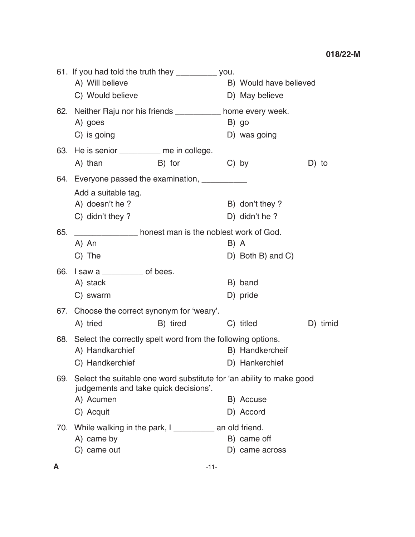|     | 61. If you had told the truth they __________ you.<br>A) Will believe<br>C) Would believe                         |          |         | B) Would have believed<br>D) May believe |          |
|-----|-------------------------------------------------------------------------------------------------------------------|----------|---------|------------------------------------------|----------|
|     | 62. Neither Raju nor his friends ___________ home every week.<br>A) goes                                          |          |         | B) go                                    |          |
|     | C) is going                                                                                                       |          |         | D) was going                             |          |
|     | 63. He is senior _________ me in college.                                                                         |          |         |                                          |          |
|     | A) than                                                                                                           | B) for   | $C)$ by |                                          | D) to    |
|     | 64. Everyone passed the examination, ___________                                                                  |          |         |                                          |          |
|     | Add a suitable tag.                                                                                               |          |         |                                          |          |
|     | A) doesn't he?                                                                                                    |          |         | B) don't they?                           |          |
|     | C) didn't they ?                                                                                                  |          |         | D) didn't he?                            |          |
| 65. | nonest man is the noblest work of God.                                                                            |          |         |                                          |          |
|     | A) An                                                                                                             |          | B) A    |                                          |          |
|     | C) The                                                                                                            |          |         | D) Both B) and C)                        |          |
|     | 66. I saw a $\frac{1}{2}$ of bees.                                                                                |          |         |                                          |          |
|     | A) stack                                                                                                          |          |         | B) band                                  |          |
|     | C) swarm                                                                                                          |          |         | D) pride                                 |          |
|     | 67. Choose the correct synonym for 'weary'.                                                                       |          |         |                                          |          |
|     | A) tried                                                                                                          | B) tired |         | C) titled                                | D) timid |
|     | 68. Select the correctly spelt word from the following options.                                                   |          |         |                                          |          |
|     | A) Handkarchief                                                                                                   |          |         | B) Handkercheif                          |          |
|     | C) Handkerchief                                                                                                   |          |         | D) Hankerchief                           |          |
|     | 69. Select the suitable one word substitute for 'an ability to make good<br>judgements and take quick decisions'. |          |         |                                          |          |
|     | A) Acumen                                                                                                         |          |         | B) Accuse                                |          |
|     | C) Acquit                                                                                                         |          |         | D) Accord                                |          |
|     | 70. While walking in the park, I ___________ an old friend.                                                       |          |         |                                          |          |
|     | A) came by                                                                                                        |          |         | B) came off                              |          |
|     | C) came out                                                                                                       |          |         | D) came across                           |          |
|     |                                                                                                                   |          |         |                                          |          |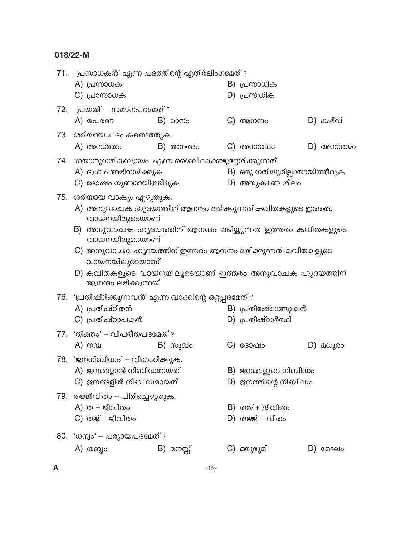|   | 71. 'പ്രസാധകൻ' എന്ന പദത്തിന്റെ എതിർലിംഗമേത് ?                                     |              |                               |             |
|---|-----------------------------------------------------------------------------------|--------------|-------------------------------|-------------|
|   | A) പ്രസാധക                                                                        |              | B) പ്രസാധിക                   |             |
|   | $C)$ പ്രാസാധക                                                                     |              | $D)$ പ്രസീധിക                 |             |
|   | 72. 'പ്രയതി' – സമാനപദമേത് ?                                                       |              |                               |             |
|   | A) പ്രേരണ                                                                         | $B)$ $\beta$ | $C)$ ആനന്ദ $\circ$            | $D)$ കഴിവ്  |
|   | 73. ശരിയായ പദം കണ്ടെത്തുക.                                                        |              |                               |             |
|   | A) അനാരതം                                                                         | $B)$ അനരദം   | $\mathbf{C}$ ) അനാരഥം         | $D)$ അനാരധം |
|   | 74. 'ഗതാനുഗതികന്യായം' എന്ന ശൈലികൊണ്ടുദ്ദേശിക്കുന്നത്.                             |              |                               |             |
|   | A) ദു:ഖം അഭിനയിക്കുക                                                              |              | B) ഒരു ഗതിയുമില്ലാതായിത്തീരുക |             |
|   | C) ദോഷം ഗുണമായിത്തീരുക                                                            |              | D) അനുകരണ ശീലം                |             |
|   | 75. ശരിയായ വാക്യം എഴുതുക.                                                         |              |                               |             |
|   | A) അനുവാചക ഹൃദയത്തിന് ആനന്ദം ലഭിക്കുന്നത് കവിതകളുടെ ഇത്തരം                        |              |                               |             |
|   | വായനയിലൂടെയാണ്                                                                    |              |                               |             |
|   | അനുവാചക ഹൃദയത്തിന് ആനന്ദം ലഭിയ്ക്കുന്നത് ഇത്തരം കവിതകളുടെ<br>B)<br>വായനയിലൂടെയാണ് |              |                               |             |
|   | C) അനുവാചക ഹൃദയത്തിന് ഇത്തരം ആനന്ദം ലഭിക്കുന്നത് കവിതകളുടെ                        |              |                               |             |
|   | വായനയിലൂടെയാണ്                                                                    |              |                               |             |
|   | D) കവിതകളുടെ വായനയിലൂടെയാണ് ഇത്തരം അനുവാചക ഹൃദയത്തിന്<br>ആനന്ദം ലഭിക്കുന്നത്      |              |                               |             |
|   | 76. 'പ്രതിഷ്ഠിക്കുന്നവൻ' എന്ന വാക്കിന്റെ ഒറ്റപ്പദമേത് ?                           |              |                               |             |
|   | A) പ്രതിഷ്ഠിതൻ                                                                    |              | B) പ്രതിഷേ്ഠാത്സുകൻ           |             |
|   | $C)$ പ്രതിഷ്ഠാപകൻ                                                                 |              | D) പ്രതിഷ്ഠാർത്ഥി             |             |
|   | $77.$ 'തിക്തം' - വിപരീതപദമേത് ?                                                   |              |                               |             |
|   | A) നന്മ                                                                           | B) സുഖം      | $C)$ ദോഷം                     | D) മധുരം    |
|   | 78. 'ജനനിബിഡം' – വിഗ്രഹിക്കുക.                                                    |              |                               |             |
|   | A) ജനങ്ങളാൽ നിബിഡമായത്                                                            |              | B) ജനങ്ങളുടെ നിബിഡം           |             |
|   | $C$ ) ജനങ്ങളിൽ നിബിഡമായത്                                                         |              | $D)$ ജനത്തിന്റെ നിബിഡം        |             |
|   | 79. തജ്ജീവിതം – പിരിച്ചെഴുതുക.                                                    |              |                               |             |
|   | A) ത $+$ ജീവിതം                                                                   |              | B) തത് + ജീവിതം               |             |
|   | $C)$ തജ് + ജീവിതം                                                                 |              | $D)$ തജ്ജ് + വിതം             |             |
|   | 80. 'ധന്വം' – പര്യായപദമേത് ?                                                      |              |                               |             |
|   | $A)$ ശബ്ദം                                                                        | B) മനസ്സ്    | C) മരുഭൂമി                    | $D)$ മേഘം   |
| А |                                                                                   | $-12-$       |                               |             |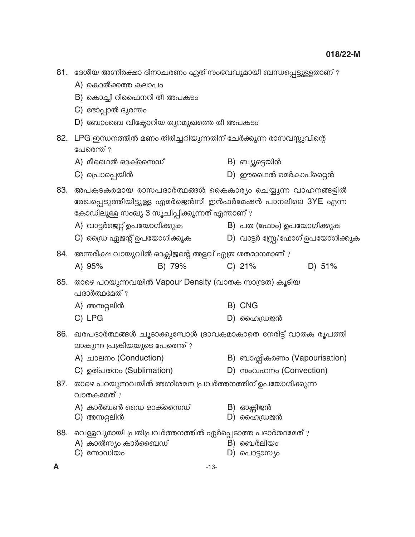|     | 81. ദേശീയ അഗ്നിരക്ഷാ ദിനാചരണം ഏത് സംഭവവുമായി ബന്ധപ്പെട്ടുള്ളതാണ് ?                                                                                                                                  |    |                                   |
|-----|-----------------------------------------------------------------------------------------------------------------------------------------------------------------------------------------------------|----|-----------------------------------|
|     | A) കൊൽക്കത്ത കലാപം                                                                                                                                                                                  |    |                                   |
|     | B) കൊച്ചി റിഫൈനറി തീ അപകടം                                                                                                                                                                          |    |                                   |
|     | C) ഭോപ്പാൽ ദുരന്തം                                                                                                                                                                                  |    |                                   |
|     | D) ബോംബെ വിക്ടോറിയ തുറമുഖത്തെ തീ അപകടം                                                                                                                                                              |    |                                   |
| 82. | LPG ഇന്ധനത്തിൽ മണം തിരിച്ചറിയുന്നതിന് ചേർക്കുന്ന രാസവസ്തുവിന്റെ<br>പേരെന്ത് ?                                                                                                                       |    |                                   |
|     | $A)$ മീഥൈൽ ഓക്സൈഡ്                                                                                                                                                                                  |    | B) ബ്യൂട്ടെയിൻ                    |
|     | C) പ്രൊപ്പെയിൻ                                                                                                                                                                                      |    | $D)$ ഈഥൈൽ മെർകാപ്റ്റൈൻ            |
| 83. | അപകടകരമായ രാസപദാർത്ഥങ്ങൾ കൈകാര്യം ചെയ്യുന്ന വാഹനങ്ങളിൽ<br>രേഖപ്പെടുത്തിയിട്ടുള്ള എമർജെൻസി ഇൻഫർമേഷൻ പാനലിലെ 3YE എന്ന<br>കോഡിലുള്ള സംഖ്യ 3 സൂചിപ്പിക്കുന്നത് എന്താണ് ?<br>A) വാട്ടർജെറ്റ് ഉപയോഗിക്കുക |    | B) പത (ഫോം) ഉപയോഗിക്കുക           |
|     | C) ഡ്രൈ ഏജന്റ് ഉപയോഗിക്കുക                                                                                                                                                                          |    | D) വാട്ടർ സ്പ്രേ/ഫോഗ് ഉപയോഗിക്കുക |
| 84. | അന്തരീക്ഷ വായുവിൽ ഓക്സിജന്റെ അളവ് എത്ര ശതമാനമാണ് ?                                                                                                                                                  |    |                                   |
|     | B) 79%<br>A) 95%                                                                                                                                                                                    |    | $C)$ 21%<br>D) 51%                |
| 85. | താഴെ പറയുന്നവയിൽ Vapour Density (വാതക സാന്ദ്രത) കൂടിയ<br>പദാർത്ഥമേത് ?                                                                                                                              |    |                                   |
|     | A) അസറ്റലിൻ                                                                                                                                                                                         |    | B) CNG                            |
|     | C) LPG                                                                                                                                                                                              |    | D) ഹൈഡ്രജൻ                        |
|     | 86. ഖരപദാർത്ഥങ്ങൾ ചൂടാക്കുമ്പോൾ ദ്രാവകമാകാതെ നേരിട്ട് വാതക രൂപത്തി<br>ലാകുന്ന പ്രക്രിയയുടെ പേരെന്ത്?                                                                                                |    |                                   |
|     | A) ചാലനം (Conduction)                                                                                                                                                                               |    | B) ബാഷ്പീകരണം (Vapourisation)     |
|     | C) ഉത്പതനം (Sublimation)                                                                                                                                                                            |    | D) സംവഹനം (Convection)            |
| 87. | താഴെ പറയുന്നവയിൽ അഗ്നിശമന പ്രവർത്തനത്തിന് ഉപയോഗിക്കുന്ന<br>വാതകമേത് ?                                                                                                                               |    |                                   |
|     | A) കാർബൺ ഡൈ ഓക്സൈഡ്<br>C) അസറ്റലിൻ                                                                                                                                                                  |    | B) ഓക്സിജൻ<br>$D)$ ഹൈഡ്രജൻ        |
| 88. | വെള്ളവുമായി പ്രതിപ്രവർത്തനത്തിൽ ഏർപ്പെടാത്ത പദാർത്ഥമേത് ?<br>A) കാൽസ്യം കാർബൈഡ്<br>$C)$ സോഡിയം                                                                                                      | D) | B) ബെർലിയം<br>പൊട്ടാസ്യം          |
| A   | $-13-$                                                                                                                                                                                              |    |                                   |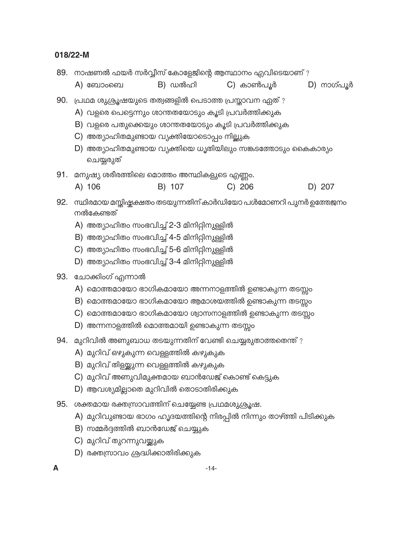|     |                                                                      |         | 89. നാഷണൽ ഫയർ സർവ്വീസ് കോളേജിന്റെ ആസ്ഥാനം എവിടെയാണ് ?                                                                                                                                                                            |            |  |  |  |
|-----|----------------------------------------------------------------------|---------|----------------------------------------------------------------------------------------------------------------------------------------------------------------------------------------------------------------------------------|------------|--|--|--|
|     | A) ബോംബെ                                                             | B) ഡൽഹി | C) കാൺപൂർ                                                                                                                                                                                                                        | D) നാഗ്പൂർ |  |  |  |
| 90. | C) അത്യാഹിതമുണ്ടായ വ്യക്തിയോടൊപ്പം നില്ലുക<br>ചെയ്യരുത്              |         | പ്രഥമ ശുശ്രൂഷയുടെ തത്വങ്ങളിൽ പെടാത്ത പ്രസ്താവന ഏത്?<br>A) വളരെ പെട്ടെന്നും ശാന്തതയോടും കൂടി പ്രവർത്തിക്കുക<br>B) വളരെ പതുക്കെയും ശാന്തതയോടും കൂടി പ്രവർത്തിക്കുക<br>D) അത്യാഹിതമുണ്ടായ വ്യക്തിയെ ധൃതിയിലും സങ്കടത്തോടും കൈകാര്യം |            |  |  |  |
| 91. | മനുഷ്യ ശരീരത്തിലെ മൊത്തം അസ്ഥികളുടെ എണ്ണം.                           |         |                                                                                                                                                                                                                                  |            |  |  |  |
|     | A) 106                                                               | B) 107  | $C)$ 206                                                                                                                                                                                                                         | D) 207     |  |  |  |
|     | നൽകേണ്ടത്                                                            |         | 92. സ്ഥിരമായ മസ്തിഷ്കക്ഷതം തടയുന്നതിന് കാർഡിയോ പൾമോണറി പുനർ ഉത്തേജനം                                                                                                                                                             |            |  |  |  |
|     | A) അത്യാഹിതം സംഭവിച്ച് 2-3 മിനിറ്റിനുള്ളിൽ                           |         |                                                                                                                                                                                                                                  |            |  |  |  |
|     | B) അത്യാഹിതം സംഭവിച്ച് 4-5 മിനിറ്റിനുള്ളിൽ                           |         |                                                                                                                                                                                                                                  |            |  |  |  |
|     | C) അത്യാഹിതം സംഭവിച്ച് 5-6 മിനിറ്റിനുള്ളിൽ                           |         |                                                                                                                                                                                                                                  |            |  |  |  |
|     | D) അത്യാഹിതം സംഭവിച്ച് 3-4 മിനിറ്റിനുള്ളിൽ                           |         |                                                                                                                                                                                                                                  |            |  |  |  |
|     | 93. ചോക്കിംഗ് എന്നാൽ                                                 |         |                                                                                                                                                                                                                                  |            |  |  |  |
|     | A) മൊത്തമായോ ഭാഗികമായോ അന്നനാളത്തിൽ ഉണ്ടാകുന്ന തടസ്സം                |         |                                                                                                                                                                                                                                  |            |  |  |  |
|     |                                                                      |         | B) മൊത്തമായോ ഭാഗികമായോ ആമാശയത്തിൽ ഉണ്ടാകുന്ന തടസ്സം                                                                                                                                                                              |            |  |  |  |
|     |                                                                      |         | $C$ ) മൊത്തമായോ ഭാഗികമായോ ശ്വാസനാളത്തിൽ ഉണ്ടാകുന്ന തടസ്സം                                                                                                                                                                        |            |  |  |  |
|     | D) അന്നനാളത്തിൽ മൊത്തമായി ഉണ്ടാകുന്ന തടസ്സം                          |         |                                                                                                                                                                                                                                  |            |  |  |  |
| 94. | മുറിവിൽ അണുബാധ തടയുന്നതിന് വേണ്ടി ചെയ്യരുതാത്തതെന്ത്?                |         |                                                                                                                                                                                                                                  |            |  |  |  |
|     | A) മുറിവ് ഒഴുകുന്ന വെള്ളത്തിൽ കഴുകുക                                 |         |                                                                                                                                                                                                                                  |            |  |  |  |
|     | B) മുറിവ് തിളയ്ക്കുന്ന വെള്ളത്തിൽ കഴുകുക                             |         |                                                                                                                                                                                                                                  |            |  |  |  |
|     | C) മുറിവ് അണുവിമുക്തമായ ബാൻഡേജ് കൊണ്ട് കെട്ടുക                       |         |                                                                                                                                                                                                                                  |            |  |  |  |
|     | D) ആവശ്യമില്ലാതെ മുറിവിൽ തൊടാതിരിക്കുക                               |         |                                                                                                                                                                                                                                  |            |  |  |  |
| 95. | ശക്തമായ രക്തസ്രാവത്തിന് ചെയ്യേണ്ട പ്രഥമശുശ്രൂഷ.                      |         |                                                                                                                                                                                                                                  |            |  |  |  |
|     | A) മുറിവുണ്ടായ ഭാഗം ഹൃദയത്തിന്റെ നിരപ്പിൽ നിന്നും താഴ്ത്തി പിടിക്കുക |         |                                                                                                                                                                                                                                  |            |  |  |  |
|     | B) സമ്മർദ്ദത്തിൽ ബാൻഡേജ് ചെയ്യുക                                     |         |                                                                                                                                                                                                                                  |            |  |  |  |
|     | C) മുറിവ് തുറന്നുവയ്ക്കുക                                            |         |                                                                                                                                                                                                                                  |            |  |  |  |
|     | D) രക്തസ്രാവം ശ്രദ്ധിക്കാതിരിക്കുക                                   |         |                                                                                                                                                                                                                                  |            |  |  |  |
|     |                                                                      |         | $-14-$                                                                                                                                                                                                                           |            |  |  |  |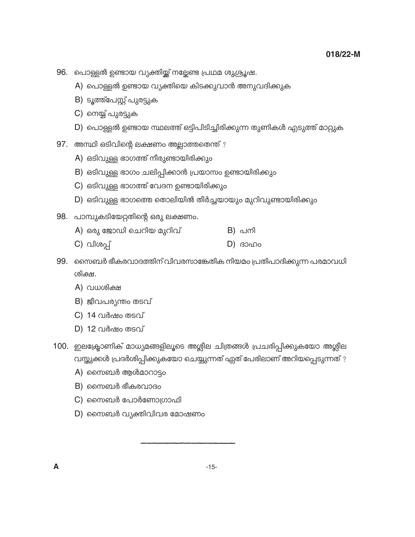- 96. പൊള്ളൽ ഉണ്ടായ വ്യക്തിയ്ക്ക് നല്ലേണ്ട പ്രഥമ ശുശ്രൂഷ.
	- A) പൊള്ളൽ ഉണ്ടായ വ്യക്തിയെ കിടക്കുവാൻ അനുവദിക്കുക
	- B) ടൂത്ത്പേസ്റ്റ് പുരട്ടുക
	- C) നെയ്യ് പുരട്ടുക
	- D) പൊള്ളൽ ഉണ്ടായ സ്ഥലത്ത് ഒട്ടിപിടിച്ചിരിക്കുന്ന തുണികൾ എടുത്ത് മാറ്റുക
- 97. അസ്ഥി ഒടിവിന്റെ ലക്ഷണം അല്ലാത്തതെന്ത് ?
	- A) ഒടിവുള്ള ഭാഗത്ത് നീരുണ്ടായിരിക്കും
	- B) ഒടിവുള്ള ഭാഗം ചലിപ്പിക്കാൻ പ്രയാസം ഉണ്ടായിരിക്കും
	- C) ഒടിവുള്ള ഭാഗത്ത് വേദന ഉണ്ടായിരിക്കും
	- D) ഒടിവുള്ള ഭാഗത്തെ തൊലിയിൽ തീർച്ചയായും മുറിവുണ്ടായിരിക്കും
- 98. പാമ്പുകടിയേറ്റതിന്റെ ഒരു ലക്ഷണം.
	- A) ഒരു ജോഡി ചെറിയ മുറിവ് B) പനി
	- C) വിശപ്പ്  $D)$   $30000$
- 99. സൈബർ ഭീകരവാദത്തിന് വിവരസാങ്കേതിക നിയമം പ്രതിപാദിക്കുന്ന പരമാവധി ശിക്ഷ.
	- A) വധശിക്ഷ
	- B) ജീവപര്യന്തം തടവ്
	- C) 14 വർഷം തടവ്
	- D) 12 വർഷം തടവ്
- 100. ഇലക്ട്രോണിക് മാധ്യമങ്ങളിലൂടെ അശ്ലീല ചിത്രങ്ങൾ പ്രചരിപ്പിക്കുകയോ അശ്ലീല വസ്തുക്കൾ പ്രദർശിപ്പിക്കുകയോ ചെയ്യുന്നത് ഏത് പേരിലാണ് അറിയപ്പെടുന്നത് ?
	- A) സൈബർ ആൾമാറാട്ടം
	- $B)$  സൈബർ ഭീകരവാദം
	- $C$ ) സൈബർ പോർണോഗ്രാഫി
	- $D$ ) സൈബർ വ്യക്തിവിവര മോഷണം